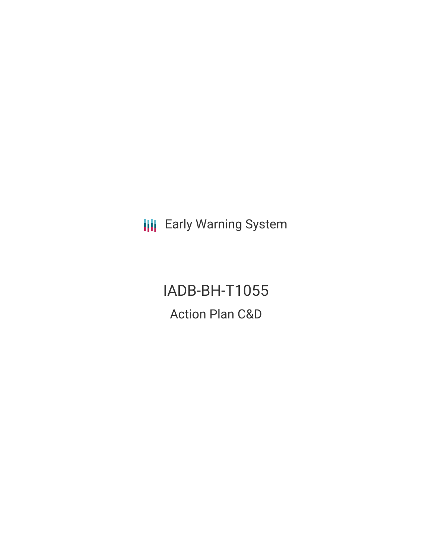**III** Early Warning System

IADB-BH-T1055 Action Plan C&D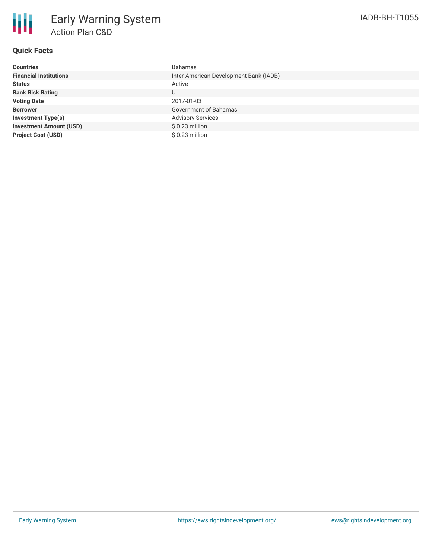

## **Quick Facts**

| <b>Countries</b>               | <b>Bahamas</b>                         |
|--------------------------------|----------------------------------------|
| <b>Financial Institutions</b>  | Inter-American Development Bank (IADB) |
| <b>Status</b>                  | Active                                 |
| <b>Bank Risk Rating</b>        | U                                      |
| <b>Voting Date</b>             | 2017-01-03                             |
| <b>Borrower</b>                | Government of Bahamas                  |
| <b>Investment Type(s)</b>      | <b>Advisory Services</b>               |
| <b>Investment Amount (USD)</b> | $$0.23$ million                        |
| <b>Project Cost (USD)</b>      | $$0.23$ million                        |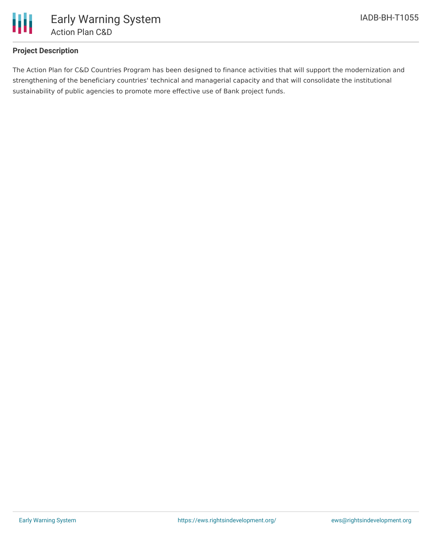

## **Project Description**

The Action Plan for C&D Countries Program has been designed to finance activities that will support the modernization and strengthening of the beneficiary countries' technical and managerial capacity and that will consolidate the institutional sustainability of public agencies to promote more effective use of Bank project funds.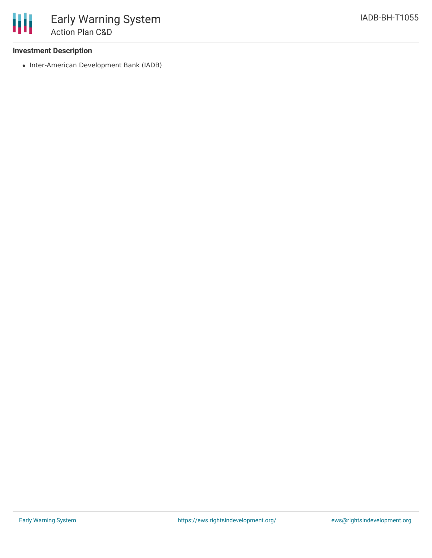• Inter-American Development Bank (IADB)